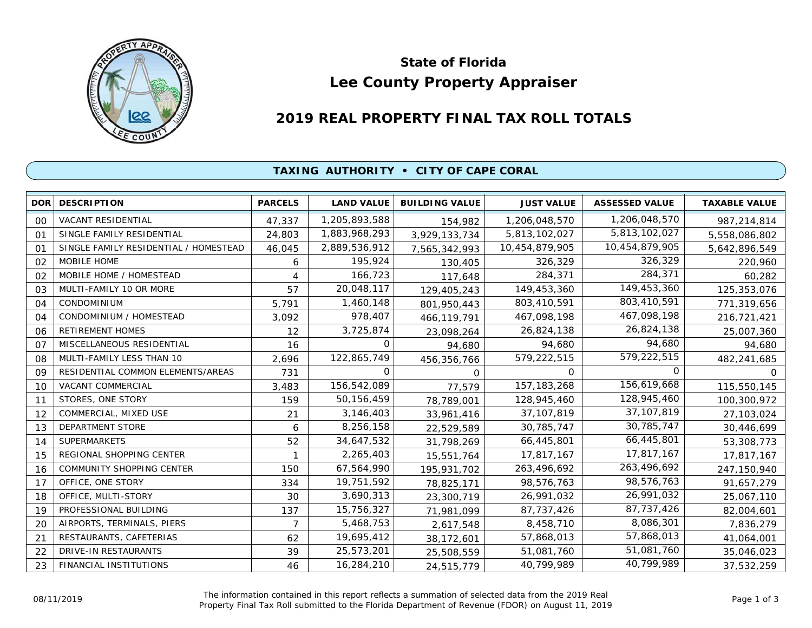

# **Lee County Property Appraiser State of Florida**

# **2019 REAL PROPERTY FINAL TAX ROLL TOTALS**

#### **TAXING AUTHORITY • CITY OF CAPE CORAL**

| <b>DOR</b> | <b>DESCRIPTION</b>                    | <b>PARCELS</b> | <b>LAND VALUE</b> | <b>BUILDING VALUE</b> | <b>JUST VALUE</b> | <b>ASSESSED VALUE</b> | <b>TAXABLE VALUE</b> |
|------------|---------------------------------------|----------------|-------------------|-----------------------|-------------------|-----------------------|----------------------|
| 00         | VACANT RESIDENTIAL                    | 47,337         | 1,205,893,588     | 154,982               | 1,206,048,570     | 1,206,048,570         | 987,214,814          |
| 01         | SINGLE FAMILY RESIDENTIAL             | 24,803         | 1,883,968,293     | 3,929,133,734         | 5,813,102,027     | 5,813,102,027         | 5,558,086,802        |
| 01         | SINGLE FAMILY RESIDENTIAL / HOMESTEAD | 46,045         | 2,889,536,912     | 7,565,342,993         | 10,454,879,905    | 10,454,879,905        | 5,642,896,549        |
| 02         | MOBILE HOME                           | 6              | 195,924           | 130,405               | 326,329           | 326,329               | 220,960              |
| 02         | MOBILE HOME / HOMESTEAD               | 4              | 166,723           | 117,648               | 284,371           | 284,371               | 60,282               |
| 03         | MULTI-FAMILY 10 OR MORE               | 57             | 20,048,117        | 129,405,243           | 149,453,360       | 149,453,360           | 125,353,076          |
| 04         | <b>CONDOMINIUM</b>                    | 5,791          | 1,460,148         | 801,950,443           | 803,410,591       | 803,410,591           | 771,319,656          |
| 04         | CONDOMINIUM / HOMESTEAD               | 3,092          | 978,407           | 466,119,791           | 467,098,198       | 467,098,198           | 216,721,421          |
| 06         | <b>RETIREMENT HOMES</b>               | 12             | 3,725,874         | 23,098,264            | 26,824,138        | 26,824,138            | 25,007,360           |
| 07         | MISCELLANEOUS RESIDENTIAL             | 16             | O                 | 94,680                | 94,680            | 94,680                | 94,680               |
| 08         | MULTI-FAMILY LESS THAN 10             | 2,696          | 122,865,749       | 456,356,766           | 579,222,515       | 579,222,515           | 482,241,685          |
| 09         | RESIDENTIAL COMMON ELEMENTS/AREAS     | 731            | 0                 | 0                     | $\Omega$          | 0                     | 0                    |
| 10         | VACANT COMMERCIAL                     | 3,483          | 156,542,089       | 77,579                | 157, 183, 268     | 156,619,668           | 115,550,145          |
| 11         | STORES, ONE STORY                     | 159            | 50, 156, 459      | 78,789,001            | 128,945,460       | 128,945,460           | 100,300,972          |
| 12         | COMMERCIAL, MIXED USE                 | 21             | 3,146,403         | 33,961,416            | 37, 107, 819      | 37,107,819            | 27,103,024           |
| 13         | DEPARTMENT STORE                      | 6              | 8,256,158         | 22,529,589            | 30,785,747        | 30,785,747            | 30,446,699           |
| 14         | <b>SUPERMARKETS</b>                   | 52             | 34,647,532        | 31,798,269            | 66,445,801        | 66,445,801            | 53,308,773           |
| 15         | REGIONAL SHOPPING CENTER              |                | 2,265,403         | 15,551,764            | 17,817,167        | 17,817,167            | 17,817,167           |
| 16         | <b>COMMUNITY SHOPPING CENTER</b>      | 150            | 67,564,990        | 195,931,702           | 263,496,692       | 263,496,692           | 247,150,940          |
| 17         | OFFICE, ONE STORY                     | 334            | 19,751,592        | 78,825,171            | 98,576,763        | 98,576,763            | 91,657,279           |
| 18         | OFFICE, MULTI-STORY                   | 30             | 3,690,313         | 23,300,719            | 26,991,032        | 26,991,032            | 25,067,110           |
| 19         | PROFESSIONAL BUILDING                 | 137            | 15,756,327        | 71,981,099            | 87,737,426        | 87, 737, 426          | 82,004,601           |
| 20         | AIRPORTS, TERMINALS, PIERS            | 7              | 5,468,753         | 2,617,548             | 8,458,710         | 8,086,301             | 7,836,279            |
| 21         | RESTAURANTS, CAFETERIAS               | 62             | 19,695,412        | 38,172,601            | 57,868,013        | 57,868,013            | 41,064,001           |
| 22         | DRIVE-IN RESTAURANTS                  | 39             | 25,573,201        | 25,508,559            | 51,081,760        | 51,081,760            | 35,046,023           |
| 23         | FINANCIAL INSTITUTIONS                | 46             | 16,284,210        | 24,515,779            | 40,799,989        | 40,799,989            | 37,532,259           |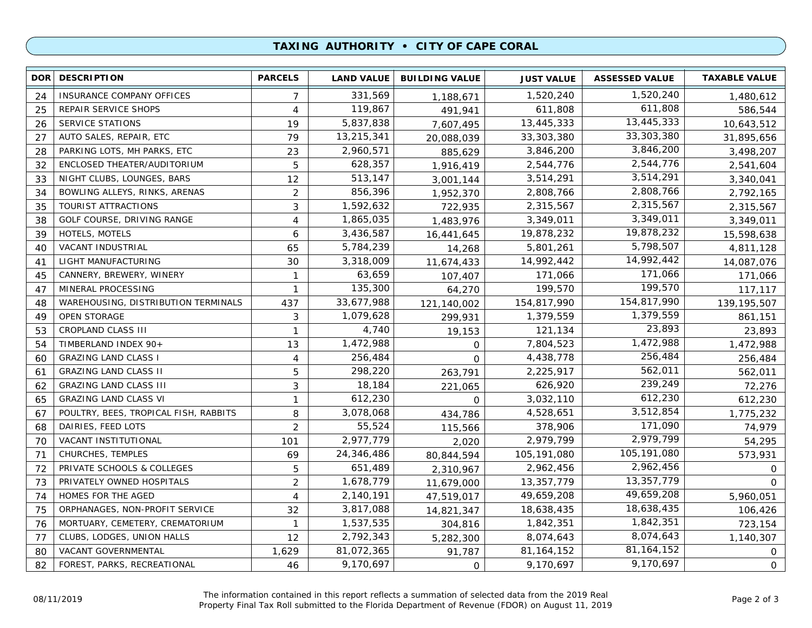## **TAXING AUTHORITY • CITY OF CAPE CORAL**

| <b>DOR</b> | <b>DESCRIPTION</b>                    | <b>PARCELS</b> | <b>LAND VALUE</b> | <b>BUILDING VALUE</b> | <b>JUST VALUE</b> | <b>ASSESSED VALUE</b> | <b>TAXABLE VALUE</b> |
|------------|---------------------------------------|----------------|-------------------|-----------------------|-------------------|-----------------------|----------------------|
| 24         | INSURANCE COMPANY OFFICES             | 7              | 331,569           | 1,188,671             | 1,520,240         | 1,520,240             | 1,480,612            |
| 25         | REPAIR SERVICE SHOPS                  | 4              | 119,867           | 491,941               | 611,808           | 611,808               | 586,544              |
| 26         | <b>SERVICE STATIONS</b>               | 19             | 5,837,838         | 7,607,495             | 13,445,333        | 13,445,333            | 10,643,512           |
| 27         | AUTO SALES, REPAIR, ETC               | 79             | 13,215,341        | 20,088,039            | 33,303,380        | 33,303,380            | 31,895,656           |
| 28         | PARKING LOTS, MH PARKS, ETC           | 23             | 2,960,571         | 885,629               | 3,846,200         | 3,846,200             | 3,498,207            |
| 32         | ENCLOSED THEATER/AUDITORIUM           | 5              | 628,357           | 1,916,419             | 2,544,776         | 2,544,776             | 2,541,604            |
| 33         | NIGHT CLUBS, LOUNGES, BARS            | 12             | 513,147           | 3,001,144             | 3,514,291         | 3,514,291             | 3,340,041            |
| 34         | BOWLING ALLEYS, RINKS, ARENAS         | $\overline{2}$ | 856,396           | 1,952,370             | 2,808,766         | 2,808,766             | 2,792,165            |
| 35         | TOURIST ATTRACTIONS                   | 3              | 1,592,632         | 722,935               | 2,315,567         | 2,315,567             | 2,315,567            |
| 38         | GOLF COURSE, DRIVING RANGE            | 4              | 1,865,035         | 1,483,976             | 3,349,011         | 3,349,011             | 3,349,011            |
| 39         | HOTELS, MOTELS                        | 6              | 3,436,587         | 16,441,645            | 19,878,232        | 19,878,232            | 15,598,638           |
| 40         | VACANT INDUSTRIAL                     | 65             | 5,784,239         | 14,268                | 5,801,261         | 5,798,507             | 4,811,128            |
| 41         | LIGHT MANUFACTURING                   | 30             | 3,318,009         | 11,674,433            | 14,992,442        | 14,992,442            | 14,087,076           |
| 45         | CANNERY, BREWERY, WINERY              | $\mathbf{1}$   | 63,659            | 107,407               | 171,066           | 171,066               | 171,066              |
| 47         | MINERAL PROCESSING                    | 1              | 135,300           | 64,270                | 199,570           | 199,570               | 117,117              |
| 48         | WAREHOUSING, DISTRIBUTION TERMINALS   | 437            | 33,677,988        | 121,140,002           | 154,817,990       | 154,817,990           | 139, 195, 507        |
| 49         | <b>OPEN STORAGE</b>                   | 3              | 1,079,628         | 299,931               | 1,379,559         | 1,379,559             | 861,151              |
| 53         | <b>CROPLAND CLASS III</b>             | $\mathbf{1}$   | 4,740             | 19,153                | 121,134           | 23,893                | 23,893               |
| 54         | TIMBERLAND INDEX 90+                  | 13             | 1,472,988         | $\mathbf 0$           | 7,804,523         | 1,472,988             | 1,472,988            |
| 60         | <b>GRAZING LAND CLASS I</b>           | 4              | 256,484           | $\Omega$              | 4,438,778         | 256,484               | 256,484              |
| 61         | <b>GRAZING LAND CLASS II</b>          | 5              | 298,220           | 263,791               | 2,225,917         | 562,011               | 562,011              |
| 62         | <b>GRAZING LAND CLASS III</b>         | 3              | 18,184            | 221,065               | 626,920           | 239,249               | 72,276               |
| 65         | <b>GRAZING LAND CLASS VI</b>          | $\mathbf{1}$   | 612,230           | $\Omega$              | 3,032,110         | 612,230               | 612,230              |
| 67         | POULTRY, BEES, TROPICAL FISH, RABBITS | 8              | 3,078,068         | 434,786               | 4,528,651         | 3,512,854             | 1,775,232            |
| 68         | DAIRIES, FEED LOTS                    | $\overline{2}$ | 55,524            | 115,566               | 378,906           | 171,090               | 74,979               |
| 70         | VACANT INSTITUTIONAL                  | 101            | 2,977,779         | 2,020                 | 2,979,799         | 2,979,799             | 54,295               |
| 71         | CHURCHES, TEMPLES                     | 69             | 24,346,486        | 80,844,594            | 105,191,080       | 105,191,080           | 573,931              |
| 72         | PRIVATE SCHOOLS & COLLEGES            | 5              | 651,489           | 2,310,967             | 2,962,456         | 2,962,456             | $\Omega$             |
| 73         | PRIVATELY OWNED HOSPITALS             | $\overline{c}$ | 1,678,779         | 11,679,000            | 13,357,779        | 13,357,779            | $\Omega$             |
| 74         | HOMES FOR THE AGED                    | 4              | 2,140,191         | 47,519,017            | 49,659,208        | 49,659,208            | 5,960,051            |
| 75         | ORPHANAGES, NON-PROFIT SERVICE        | 32             | 3,817,088         | 14,821,347            | 18,638,435        | 18,638,435            | 106,426              |
| 76         | MORTUARY, CEMETERY, CREMATORIUM       | $\mathbf{1}$   | 1,537,535         | 304,816               | 1,842,351         | 1,842,351             | 723,154              |
| 77         | CLUBS, LODGES, UNION HALLS            | 12             | 2,792,343         | 5,282,300             | 8,074,643         | 8,074,643             | 1,140,307            |
| 80         | VACANT GOVERNMENTAL                   | 1,629          | 81,072,365        | 91,787                | 81, 164, 152      | 81, 164, 152          | 0                    |
| 82         | FOREST, PARKS, RECREATIONAL           | 46             | 9,170,697         | $\mathsf{O}$          | 9,170,697         | 9,170,697             | 0                    |